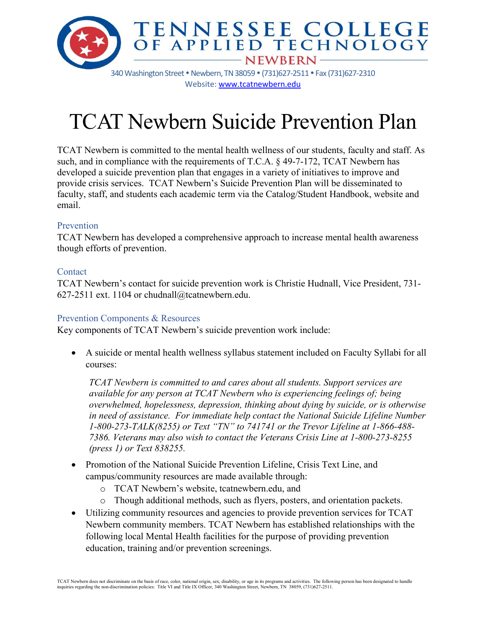

340 Washington Street . Newbern, TN 38059 . (731)627-2511 . Fax (731)627-2310 Website[: www.tcatnewbern.edu](http://www.tcatnewbern.edu/)

# TCAT Newbern Suicide Prevention Plan

TCAT Newbern is committed to the mental health wellness of our students, faculty and staff. As such, and in compliance with the requirements of T.C.A. § 49-7-172, TCAT Newbern has developed a suicide prevention plan that engages in a variety of initiatives to improve and provide crisis services. TCAT Newbern's Suicide Prevention Plan will be disseminated to faculty, staff, and students each academic term via the Catalog/Student Handbook, website and email.

# Prevention

TCAT Newbern has developed a comprehensive approach to increase mental health awareness though efforts of prevention.

# Contact

TCAT Newbern's contact for suicide prevention work is Christie Hudnall, Vice President, 731- 627-2511 ext. 1104 or chudnall@tcatnewbern.edu.

# Prevention Components & Resources

Key components of TCAT Newbern's suicide prevention work include:

• A suicide or mental health wellness syllabus statement included on Faculty Syllabi for all courses:

*TCAT Newbern is committed to and cares about all students. Support services are available for any person at TCAT Newbern who is experiencing feelings of; being overwhelmed, hopelessness, depression, thinking about dying by suicide, or is otherwise in need of assistance. For immediate help contact the National Suicide Lifeline Number 1-800-273-TALK(8255) or Text "TN" to 741741 or the Trevor Lifeline at 1-866-488- 7386. Veterans may also wish to contact the Veterans Crisis Line at 1-800-273-8255 (press 1) or Text 838255.*

- Promotion of the National Suicide Prevention Lifeline, Crisis Text Line, and campus/community resources are made available through:
	- o TCAT Newbern's website, tcatnewbern.edu, and
	- o Though additional methods, such as flyers, posters, and orientation packets.
- Utilizing community resources and agencies to provide prevention services for TCAT Newbern community members. TCAT Newbern has established relationships with the following local Mental Health facilities for the purpose of providing prevention education, training and/or prevention screenings.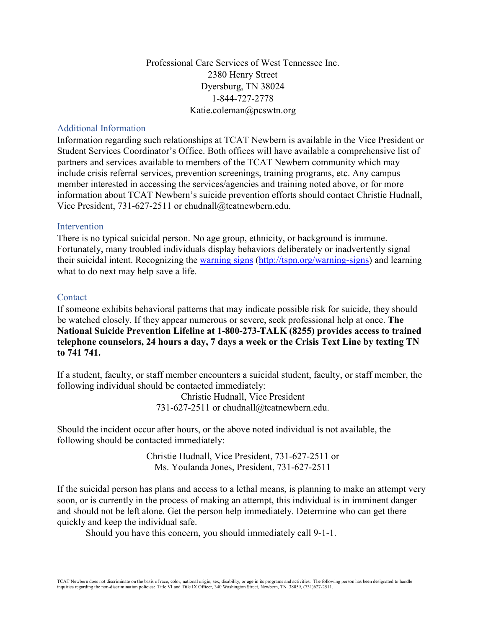Professional Care Services of West Tennessee Inc. 2380 Henry Street Dyersburg, TN 38024 1-844-727-2778 Katie.coleman@pcswtn.org

## Additional Information

Information regarding such relationships at TCAT Newbern is available in the Vice President or Student Services Coordinator's Office. Both offices will have available a comprehensive list of partners and services available to members of the TCAT Newbern community which may include crisis referral services, prevention screenings, training programs, etc. Any campus member interested in accessing the services/agencies and training noted above, or for more information about TCAT Newbern's suicide prevention efforts should contact Christie Hudnall, Vice President, 731-627-2511 or chudnall@tcatnewbern.edu.

## Intervention

There is no typical suicidal person. No age group, ethnicity, or background is immune. Fortunately, many troubled individuals display behaviors deliberately or inadvertently signal their suicidal intent. Recognizing the [warning signs](http://tspn.org/warning-signs) [\(http://tspn.org/warning-signs\)](http://tspn.org/warning-signs) and learning what to do next may help save a life.

## Contact

If someone exhibits behavioral patterns that may indicate possible risk for suicide, they should be watched closely. If they appear numerous or severe, seek professional help at once. **The National Suicide Prevention Lifeline at 1-800-273-TALK (8255) provides access to trained telephone counselors, 24 hours a day, 7 days a week or the Crisis Text Line by texting TN to 741 741.**

If a student, faculty, or staff member encounters a suicidal student, faculty, or staff member, the following individual should be contacted immediately:

> Christie Hudnall, Vice President 731-627-2511 or chudnall@tcatnewbern.edu.

Should the incident occur after hours, or the above noted individual is not available, the following should be contacted immediately:

> Christie Hudnall, Vice President, 731-627-2511 or Ms. Youlanda Jones, President, 731-627-2511

If the suicidal person has plans and access to a lethal means, is planning to make an attempt very soon, or is currently in the process of making an attempt, this individual is in imminent danger and should not be left alone. Get the person help immediately. Determine who can get there quickly and keep the individual safe.

Should you have this concern, you should immediately call 9-1-1.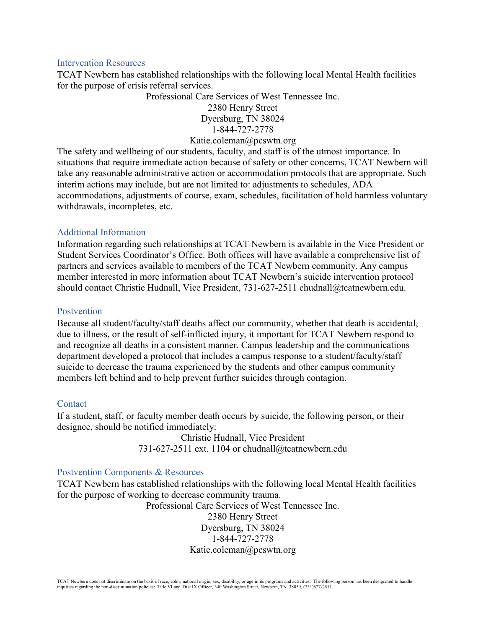#### Intervention Resources

TCAT Newbern has established relationships with the following local Mental Health facilities for the purpose of crisis referral services.

> Professional Care Services of West Tennessee Inc. 2380 Henry Street Dyersburg, TN 38024 1-844-727-2778

## Katie.coleman@pcswtn.org

The safety and wellbeing of our students, faculty, and staff is of the utmost importance. In situations that require immediate action because of safety or other concerns, TCAT Newbern will take any reasonable administrative action or accommodation protocols that are appropriate. Such interim actions may include, but are not limited to: adjustments to schedules, ADA accommodations, adjustments of course, exam, schedules, facilitation of hold harmless voluntary withdrawals, incompletes, etc.

## Additional Information

Information regarding such relationships at TCAT Newbern is available in the Vice President or Student Services Coordinator's Office. Both offices will have available a comprehensive list of partners and services available to members of the TCAT Newbern community. Any campus member interested in more information about TCAT Newbern's suicide intervention protocol should contact Christie Hudnall, Vice President, 731-627-2511 chudnall@tcatnewbern.edu.

## Postvention

Because all student/faculty/staff deaths affect our community, whether that death is accidental, due to illness, or the result of self-inflicted injury, it important for TCAT Newbern respond to and recognize all deaths in a consistent manner. Campus leadership and the communications department developed a protocol that includes a campus response to a student/faculty/staff suicide to decrease the trauma experienced by the students and other campus community members left behind and to help prevent further suicides through contagion.

## Contact

If a student, staff, or faculty member death occurs by suicide, the following person, or their designee, should be notified immediately:

> Christie Hudnall, Vice President 731-627-2511 ext. 1104 or chudnall@tcatnewbern.edu

## Postvention Components & Resources

TCAT Newbern has established relationships with the following local Mental Health facilities for the purpose of working to decrease community trauma.

> Professional Care Services of West Tennessee Inc. 2380 Henry Street Dyersburg, TN 38024 1-844-727-2778 Katie.coleman@pcswtn.org